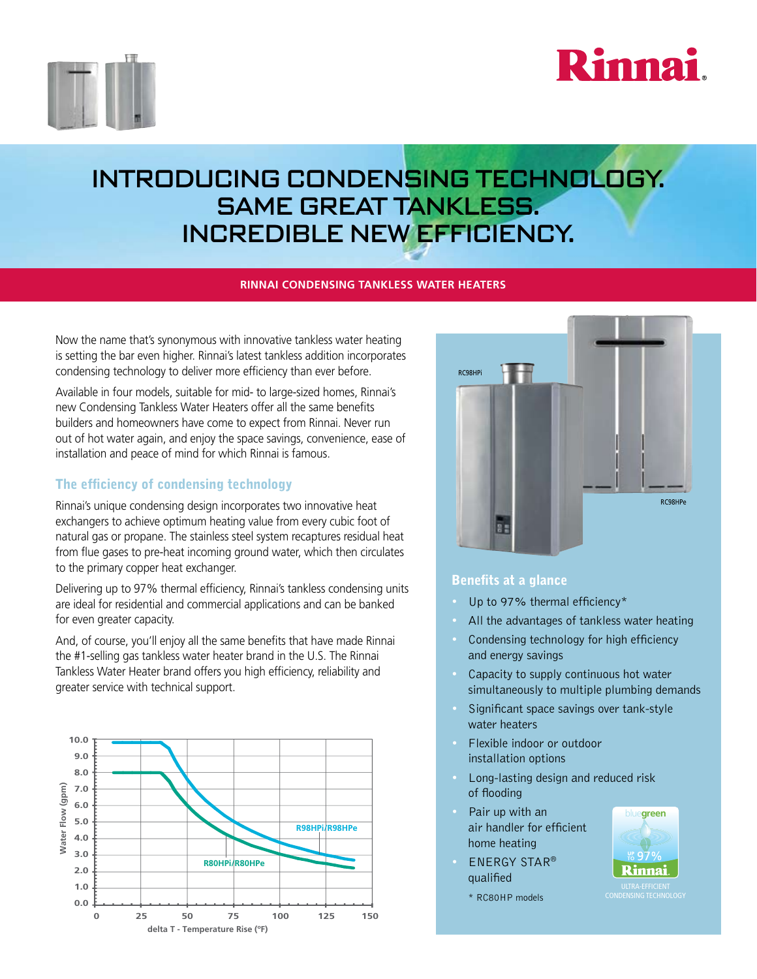



# introducing condensing Technology. same great tankless. Incredible new efficiency.

### **Rinnai Condensing tankless water heaters**

Now the name that's synonymous with innovative tankless water heating is setting the bar even higher. Rinnai's latest tankless addition incorporates condensing technology to deliver more efficiency than ever before.

Available in four models, suitable for mid- to large-sized homes, Rinnai's new Condensing Tankless Water Heaters offer all the same benefits builders and homeowners have come to expect from Rinnai. Never run out of hot water again, and enjoy the space savings, convenience, ease of installation and peace of mind for which Rinnai is famous.

## The efficiency of condensing technology

Rinnai's unique condensing design incorporates two innovative heat exchangers to achieve optimum heating value from every cubic foot of natural gas or propane. The stainless steel system recaptures residual heat from flue gases to pre-heat incoming ground water, which then circulates to the primary copper heat exchanger.

Delivering up to 97% thermal efficiency, Rinnai's tankless condensing units are ideal for residential and commercial applications and can be banked for even greater capacity.

And, of course, you'll enjoy all the same benefits that have made Rinnai the #1-selling gas tankless water heater brand in the U.S. The Rinnai Tankless Water Heater brand offers you high efficiency, reliability and greater service with technical support.





#### Benefits at a glance

- Up to 97% thermal efficiency\*
- All the advantages of tankless water heating
- Condensing technology for high efficiency and energy savings
- Capacity to supply continuous hot water simultaneously to multiple plumbing demands
- Significant space savings over tank-style water heaters
- Flexible indoor or outdoor installation options
- Long-lasting design and reduced risk of flooding
- Pair up with an air handler for efficient home heating
- **ENERGY STAR®** qualified

\* RC80HP models